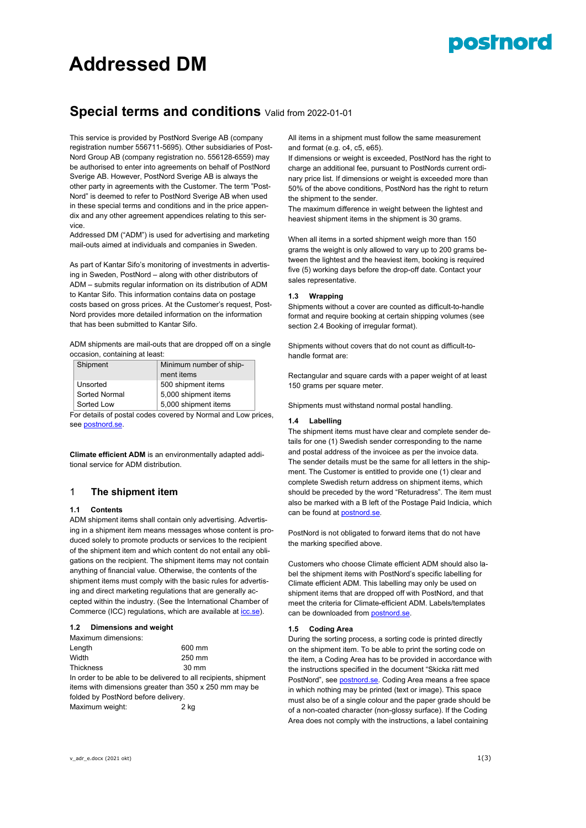# posinord

# **Addressed DM**

# **Special terms and conditions** Valid from 2022-01-01

This service is provided by PostNord Sverige AB (company registration number 556711-5695). Other subsidiaries of Post-Nord Group AB (company registration no. 556128-6559) may be authorised to enter into agreements on behalf of PostNord Sverige AB. However, PostNord Sverige AB is always the other party in agreements with the Customer. The term "Post-Nord" is deemed to refer to PostNord Sverige AB when used in these special terms and conditions and in the price appendix and any other agreement appendices relating to this service.

Addressed DM ("ADM") is used for advertising and marketing mail-outs aimed at individuals and companies in Sweden.

As part of Kantar Sifo's monitoring of investments in advertising in Sweden, PostNord – along with other distributors of ADM – submits regular information on its distribution of ADM to Kantar Sifo. This information contains data on postage costs based on gross prices. At the Customer's request, Post-Nord provides more detailed information on the information that has been submitted to Kantar Sifo.

ADM shipments are mail-outs that are dropped off on a single occasion, containing at least:

| Shipment      | Minimum number of ship- |
|---------------|-------------------------|
|               | ment items              |
| Unsorted      | 500 shipment items      |
| Sorted Normal | 5,000 shipment items    |
| Sorted Low    | 5,000 shipment items    |

For details of postal codes covered by Normal and Low prices, se[e postnord.se.](http://www.postnord.se/)

**Climate efficient ADM** is an environmentally adapted additional service for ADM distribution.

# 1 **The shipment item**

#### **1.1 Contents**

ADM shipment items shall contain only advertising. Advertising in a shipment item means messages whose content is produced solely to promote products or services to the recipient of the shipment item and which content do not entail any obligations on the recipient. The shipment items may not contain anything of financial value. Otherwise, the contents of the shipment items must comply with the basic rules for advertising and direct marketing regulations that are generally accepted within the industry. (See the International Chamber of Commerce (ICC) regulations, which are available a[t icc.se\)](http://www.icc.se/).

#### **1.2 Dimensions and weight**

| Maximum dimensions:                 |                                                                 |
|-------------------------------------|-----------------------------------------------------------------|
| Length                              | 600 mm                                                          |
| Width                               | 250 mm                                                          |
| <b>Thickness</b>                    | $30 \text{ mm}$                                                 |
|                                     | In order to be able to be delivered to all recipients, shipment |
|                                     | items with dimensions greater than 350 x 250 mm may be          |
| folded by PostNord before delivery. |                                                                 |
| Maximum weight:                     | 2 kg                                                            |

All items in a shipment must follow the same measurement and format (e.g. c4, c5, e65).

If dimensions or weight is exceeded, PostNord has the right to charge an additional fee, pursuant to PostNords current ordinary price list. If dimensions or weight is exceeded more than 50% of the above conditions, PostNord has the right to return the shipment to the sender.

The maximum difference in weight between the lightest and heaviest shipment items in the shipment is 30 grams.

When all items in a sorted shipment weigh more than 150 grams the weight is only allowed to vary up to 200 grams between the lightest and the heaviest item, booking is required five (5) working days before the drop-off date. Contact your sales representative.

### **1.3 Wrapping**

Shipments without a cover are counted as difficult-to-handle format and require booking at certain shipping volumes (see section 2.4 Booking of irregular format).

Shipments without covers that do not count as difficult-tohandle format are:

Rectangular and square cards with a paper weight of at least 150 grams per square meter.

Shipments must withstand normal postal handling.

#### **1.4 Labelling**

The shipment items must have clear and complete sender details for one (1) Swedish sender corresponding to the name and postal address of the invoicee as per the invoice data. The sender details must be the same for all letters in the shipment. The Customer is entitled to provide one (1) clear and complete Swedish return address on shipment items, which should be preceded by the word "Returadress". The item must also be marked with a B left of the Postage Paid Indicia, which can be found at [postnord.se.](http://www.postnord.se/sv/foretag/foretagslosningar/servicelogistik/frankering-och-markning/Sidor/ladda-ner-klicheer.aspx)

PostNord is not obligated to forward items that do not have the marking specified above.

Customers who choose Climate efficient ADM should also label the shipment items with PostNord's specific labelling for Climate efficient ADM. This labelling may only be used on shipment items that are dropped off with PostNord, and that meet the criteria for Climate-efficient ADM. Labels/templates can be downloaded fro[m postnord.se.](http://www.postnord.se/sv/foretag/foretagslosningar/servicelogistik/frankering-och-markning/Sidor/ladda-ner-klicheer.aspx)

#### **1.5 Coding Area**

During the sorting process, a sorting code is printed directly on the shipment item. To be able to print the sorting code on the item, a Coding Area has to be provided in accordance with the instructions specified in the document "Skicka rätt med PostNord", see **postnord.se**. Coding Area means a free space in which nothing may be printed (text or image). This space must also be of a single colour and the paper grade should be of a non-coated character (non-glossy surface). If the Coding Area does not comply with the instructions, a label containing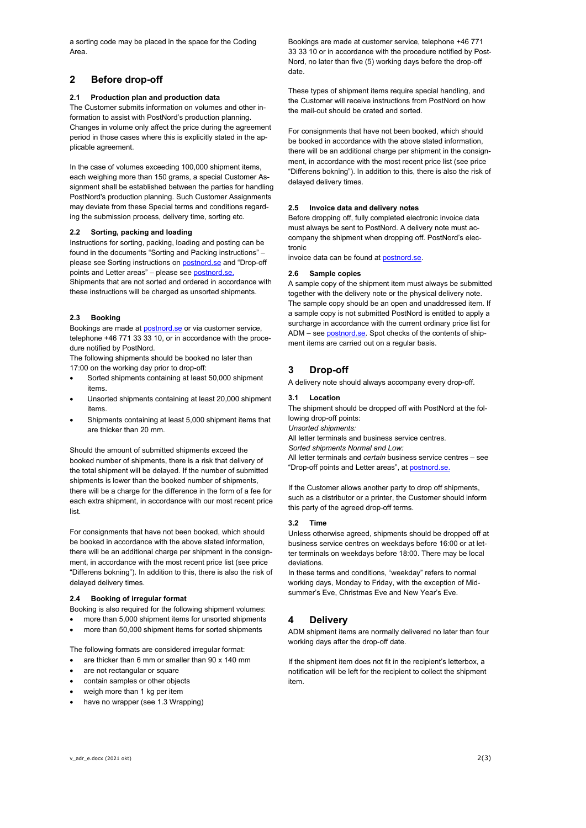a sorting code may be placed in the space for the Coding Area.

# **2 Before drop-off**

#### **2.1 Production plan and production data**

The Customer submits information on volumes and other information to assist with PostNord's production planning. Changes in volume only affect the price during the agreement period in those cases where this is explicitly stated in the applicable agreement.

In the case of volumes exceeding 100,000 shipment items, each weighing more than 150 grams, a special Customer Assignment shall be established between the parties for handling PostNord's production planning. Such Customer Assignments may deviate from these Special terms and conditions regarding the submission process, delivery time, sorting etc.

#### **2.2 Sorting, packing and loading**

Instructions for sorting, packing, loading and posting can be found in the documents "Sorting and Packing instructions" – please see Sorting instructions o[n postnord.se](http://www.postnord.se/sortering) and "Drop-off points and Letter areas" – please see [postnord.se.](http://www.postnord.se/faktablad) Shipments that are not sorted and ordered in accordance with these instructions will be charged as unsorted shipments.

#### **2.3 Booking**

Bookings are made at [postnord.se](http://www.postnord.se/) or via customer service, telephone +46 771 33 33 10, or in accordance with the procedure notified by PostNord.

The following shipments should be booked no later than 17:00 on the working day prior to drop-off:

- Sorted shipments containing at least 50,000 shipment items.
- Unsorted shipments containing at least 20,000 shipment items.
- Shipments containing at least 5,000 shipment items that are thicker than 20 mm.

Should the amount of submitted shipments exceed the booked number of shipments, there is a risk that delivery of the total shipment will be delayed. If the number of submitted shipments is lower than the booked number of shipments, there will be a charge for the difference in the form of a fee for each extra shipment, in accordance with our most recent price list.

For consignments that have not been booked, which should be booked in accordance with the above stated information, there will be an additional charge per shipment in the consignment, in accordance with the most recent price list (see price "Differens bokning"). In addition to this, there is also the risk of delayed delivery times.

#### **2.4 Booking of irregular format**

Booking is also required for the following shipment volumes:

- more than 5,000 shipment items for unsorted shipments
- more than 50,000 shipment items for sorted shipments

The following formats are considered irregular format:

- are thicker than 6 mm or smaller than 90 x 140 mm
- are not rectangular or square
- contain samples or other objects
- weigh more than 1 kg per item
- have no wrapper (see 1.3 Wrapping)

Bookings are made at customer service, telephone +46 771 33 33 10 or in accordance with the procedure notified by Post-Nord, no later than five (5) working days before the drop-off date.

These types of shipment items require special handling, and the Customer will receive instructions from PostNord on how the mail-out should be crated and sorted.

For consignments that have not been booked, which should be booked in accordance with the above stated information, there will be an additional charge per shipment in the consignment, in accordance with the most recent price list (see price "Differens bokning"). In addition to this, there is also the risk of delayed delivery times.

#### **2.5 Invoice data and delivery notes**

Before dropping off, fully completed electronic invoice data must always be sent to PostNord. A delivery note must accompany the shipment when dropping off. PostNord's electronic

invoice data can be found at [postnord.se.](http://www.postnord.se/)

#### **2.6 Sample copies**

A sample copy of the shipment item must always be submitted together with the delivery note or the physical delivery note. The sample copy should be an open and unaddressed item. If a sample copy is not submitted PostNord is entitled to apply a surcharge in accordance with the current ordinary price list for ADM – see **postnord.se**. Spot checks of the contents of shipment items are carried out on a regular basis.

# **3 Drop-off**

A delivery note should always accompany every drop-off.

#### **3.1 Location**

The shipment should be dropped off with PostNord at the following drop-off points:

*Unsorted shipments:*

All letter terminals and business service centres.

*Sorted shipments Normal and Low:*

All letter terminals and *certain* business service centres – see "Drop-off points and Letter areas", at [postnord.se.](http://www.postnord.se/faktablad)

If the Customer allows another party to drop off shipments, such as a distributor or a printer, the Customer should inform this party of the agreed drop-off terms.

#### **3.2 Time**

Unless otherwise agreed, shipments should be dropped off at business service centres on weekdays before 16:00 or at letter terminals on weekdays before 18:00. There may be local deviations.

In these terms and conditions, "weekday" refers to normal working days, Monday to Friday, with the exception of Midsummer's Eve, Christmas Eve and New Year's Eve.

#### **4 Delivery**

ADM shipment items are normally delivered no later than four working days after the drop-off date.

If the shipment item does not fit in the recipient's letterbox, a notification will be left for the recipient to collect the shipment item.